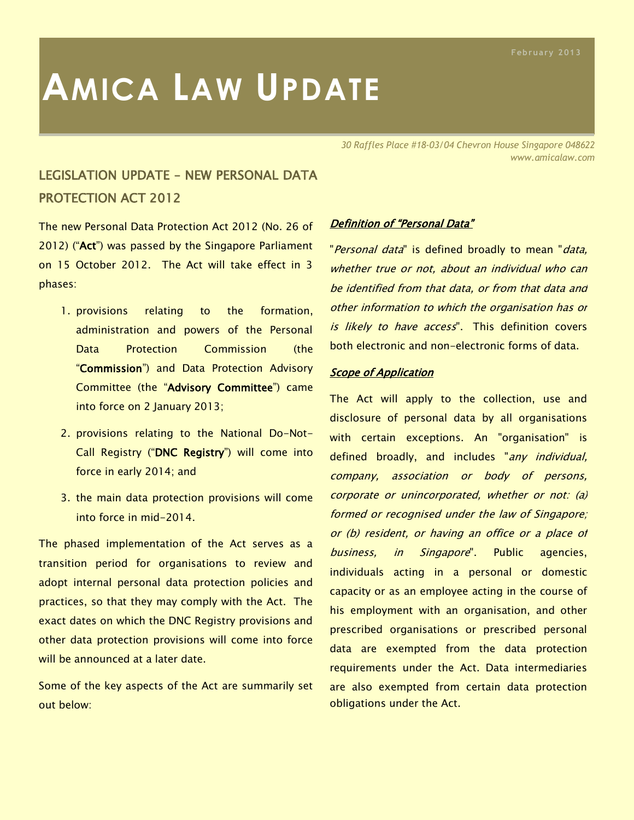# **AMICA LAW UPDATE**

*30 Raffles Place #18-03/04 Chevron House Singapore 048622 www.amicalaw.com*

## LEGISLATION UPDATE – NEW PERSONAL DATA PROTECTION ACT 2012

The new Personal Data Protection Act 2012 (No. 26 of 2012) ("Act") was passed by the Singapore Parliament on 15 October 2012. The Act will take effect in 3 phases:

- 1. provisions relating to the formation, administration and powers of the Personal Data Protection Commission (the "Commission") and Data Protection Advisory Committee (the "Advisory Committee") came into force on 2 January 2013;
- 2. provisions relating to the National Do-Not-Call Registry ("DNC Registry") will come into force in early 2014; and
- 3. the main data protection provisions will come into force in mid-2014.

The phased implementation of the Act serves as a transition period for organisations to review and adopt internal personal data protection policies and practices, so that they may comply with the Act. The exact dates on which the DNC Registry provisions and other data protection provisions will come into force will be announced at a later date.

Some of the key aspects of the Act are summarily set out below:

#### Definition of "Personal Data"

"Personal data" is defined broadly to mean "data, whether true or not, about an individual who can be identified from that data, or from that data and other information to which the organisation has or is likely to have access". This definition covers both electronic and non-electronic forms of data.

#### **Scope of Application**

The Act will apply to the collection, use and disclosure of personal data by all organisations with certain exceptions. An "organisation" is defined broadly, and includes "any individual, company, association or body of persons, corporate or unincorporated, whether or not: (a) formed or recognised under the law of Singapore; or (b) resident, or having an office or a place of business, in Singapore". Public agencies, individuals acting in a personal or domestic capacity or as an employee acting in the course of his employment with an organisation, and other prescribed organisations or prescribed personal data are exempted from the data protection requirements under the Act. Data intermediaries are also exempted from certain data protection obligations under the Act.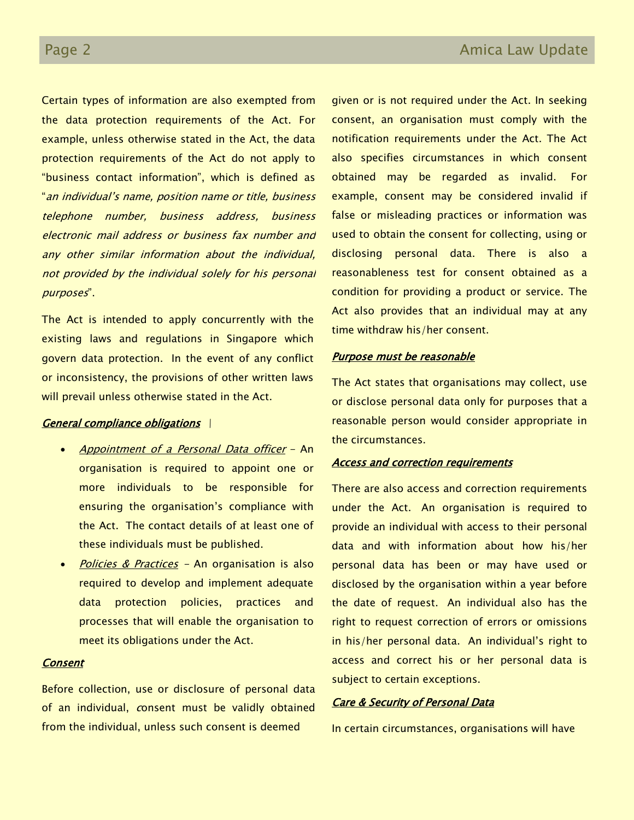Certain types of information are also exempted from the data protection requirements of the Act. For example, unless otherwise stated in the Act, the data protection requirements of the Act do not apply to "business contact information", which is defined as "an individual's name, position name or title, business telephone number, business address, business electronic mail address or business fax number and any other similar information about the individual, not provided by the individual solely for his personal purposes".

The Act is intended to apply concurrently with the existing laws and regulations in Singapore which govern data protection. In the event of any conflict or inconsistency, the provisions of other written laws will prevail unless otherwise stated in the Act.

#### General compliance obligations \

- Appointment of a Personal Data officer An organisation is required to appoint one or more individuals to be responsible for ensuring the organisation's compliance with the Act. The contact details of at least one of these individuals must be published.
- Policies & Practices An organisation is also required to develop and implement adequate data protection policies, practices and processes that will enable the organisation to meet its obligations under the Act.

### **Consent**

Before collection, use or disclosure of personal data of an individual, consent must be validly obtained from the individual, unless such consent is deemed

given or is not required under the Act. In seeking consent, an organisation must comply with the notification requirements under the Act. The Act also specifies circumstances in which consent obtained may be regarded as invalid. For example, consent may be considered invalid if false or misleading practices or information was used to obtain the consent for collecting, using or disclosing personal data. There is also a reasonableness test for consent obtained as a condition for providing a product or service. The Act also provides that an individual may at any time withdraw his/her consent.

#### Purpose must be reasonable

The Act states that organisations may collect, use or disclose personal data only for purposes that a reasonable person would consider appropriate in the circumstances.

#### Access and correction requirements

There are also access and correction requirements under the Act. An organisation is required to provide an individual with access to their personal data and with information about how his/her personal data has been or may have used or disclosed by the organisation within a year before the date of request. An individual also has the right to request correction of errors or omissions in his/her personal data. An individual's right to access and correct his or her personal data is subject to certain exceptions.

#### Care & Security of Personal Data

In certain circumstances, organisations will have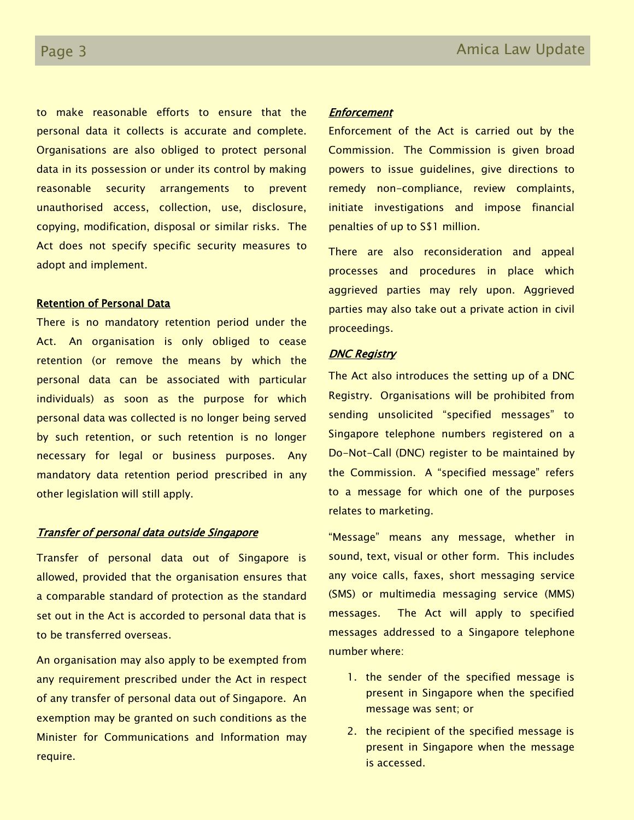to make reasonable efforts to ensure that the personal data it collects is accurate and complete. Organisations are also obliged to protect personal data in its possession or under its control by making reasonable security arrangements to prevent unauthorised access, collection, use, disclosure, copying, modification, disposal or similar risks. The Act does not specify specific security measures to adopt and implement.

#### Retention of Personal Data

There is no mandatory retention period under the Act. An organisation is only obliged to cease retention (or remove the means by which the personal data can be associated with particular individuals) as soon as the purpose for which personal data was collected is no longer being served by such retention, or such retention is no longer necessary for legal or business purposes. Any mandatory data retention period prescribed in any other legislation will still apply.

#### Transfer of personal data outside Singapore

Transfer of personal data out of Singapore is allowed, provided that the organisation ensures that a comparable standard of protection as the standard set out in the Act is accorded to personal data that is to be transferred overseas.

An organisation may also apply to be exempted from any requirement prescribed under the Act in respect of any transfer of personal data out of Singapore. An exemption may be granted on such conditions as the Minister for Communications and Information may require.

#### **Enforcement**

Enforcement of the Act is carried out by the Commission. The Commission is given broad powers to issue guidelines, give directions to remedy non-compliance, review complaints, initiate investigations and impose financial penalties of up to S\$1 million.

There are also reconsideration and appeal processes and procedures in place which aggrieved parties may rely upon. Aggrieved parties may also take out a private action in civil proceedings.

#### **DNC Registry**

The Act also introduces the setting up of a DNC Registry. Organisations will be prohibited from sending unsolicited "specified messages" to Singapore telephone numbers registered on a Do-Not-Call (DNC) register to be maintained by the Commission. A "specified message" refers to a message for which one of the purposes relates to marketing.

"Message" means any message, whether in sound, text, visual or other form. This includes any voice calls, faxes, short messaging service (SMS) or multimedia messaging service (MMS) messages. The Act will apply to specified messages addressed to a Singapore telephone number where:

- 1. the sender of the specified message is present in Singapore when the specified message was sent; or
- 2. the recipient of the specified message is present in Singapore when the message is accessed.